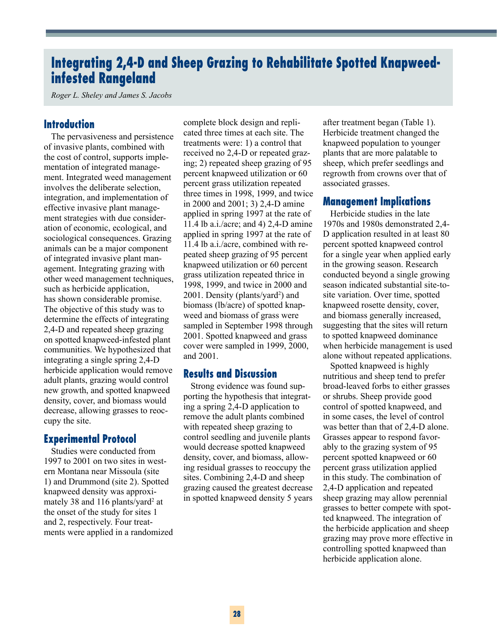# **Integrating 2,4-D and Sheep Grazing to Rehabilitate Spotted Knapweedinfested Rangeland**

*Roger L. Sheley and James S. Jacobs*

### **Introduction**

The pervasiveness and persistence of invasive plants, combined with the cost of control, supports implementation of integrated management. Integrated weed management involves the deliberate selection, integration, and implementation of effective invasive plant management strategies with due consideration of economic, ecological, and sociological consequences. Grazing animals can be a major component of integrated invasive plant management. Integrating grazing with other weed management techniques, such as herbicide application, has shown considerable promise. The objective of this study was to determine the effects of integrating 2,4-D and repeated sheep grazing on spotted knapweed-infested plant communities. We hypothesized that integrating a single spring 2,4-D herbicide application would remove adult plants, grazing would control new growth, and spotted knapweed density, cover, and biomass would decrease, allowing grasses to reoccupy the site.

# **Experimental Protocol**

Studies were conducted from 1997 to 2001 on two sites in western Montana near Missoula (site 1) and Drummond (site 2). Spotted knapweed density was approximately 38 and 116 plants/yard<sup>2</sup> at the onset of the study for sites 1 and 2, respectively. Four treatments were applied in a randomized complete block design and replicated three times at each site. The treatments were: 1) a control that received no 2,4-D or repeated grazing; 2) repeated sheep grazing of 95 percent knapweed utilization or 60 percent grass utilization repeated three times in 1998, 1999, and twice in 2000 and 2001; 3) 2,4-D amine applied in spring 1997 at the rate of 11.4 lb a.i./acre; and 4) 2,4-D amine applied in spring 1997 at the rate of 11.4 lb a.i./acre, combined with repeated sheep grazing of 95 percent knapweed utilization or 60 percent grass utilization repeated thrice in 1998, 1999, and twice in 2000 and 2001. Density (plants/yard<sup>2</sup>) and biomass (lb/acre) of spotted knapweed and biomass of grass were sampled in September 1998 through 2001. Spotted knapweed and grass cover were sampled in 1999, 2000, and 2001.

## **Results and Discussion**

Strong evidence was found supporting the hypothesis that integrating a spring 2,4-D application to remove the adult plants combined with repeated sheep grazing to control seedling and juvenile plants would decrease spotted knapweed density, cover, and biomass, allowing residual grasses to reoccupy the sites. Combining 2,4-D and sheep grazing caused the greatest decrease in spotted knapweed density 5 years

after treatment began (Table 1). Herbicide treatment changed the knapweed population to younger plants that are more palatable to sheep, which prefer seedlings and regrowth from crowns over that of associated grasses.

#### **Management Implications**

Herbicide studies in the late 1970s and 1980s demonstrated 2,4- D application resulted in at least 80 percent spotted knapweed control for a single year when applied early in the growing season. Research conducted beyond a single growing season indicated substantial site-tosite variation. Over time, spotted knapweed rosette density, cover, and biomass generally increased, suggesting that the sites will return to spotted knapweed dominance when herbicide management is used alone without repeated applications.

Spotted knapweed is highly nutritious and sheep tend to prefer broad-leaved forbs to either grasses or shrubs. Sheep provide good control of spotted knapweed, and in some cases, the level of control was better than that of 2,4-D alone. Grasses appear to respond favorably to the grazing system of 95 percent spotted knapweed or 60 percent grass utilization applied in this study. The combination of 2,4-D application and repeated sheep grazing may allow perennial grasses to better compete with spotted knapweed. The integration of the herbicide application and sheep grazing may prove more effective in controlling spotted knapweed than herbicide application alone.